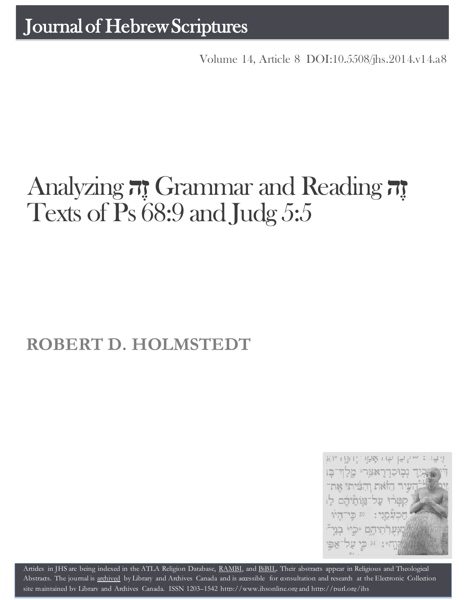Volume 14, Article 8 [DOI:10.5508/jhs.2014.v14.a8](http://dx.doi.org/10.5508/jhs.2014.v14.a8)

# **זֶה** Reading and Grammar **זֶה** Analyzing Texts of Ps 68:9 and Judg 5:5

# **ROBERT D. HOLMSTEDT**



Artides in JHS are being indexed in the ATLA Religion Database, [RAMBI,](http://jnul.huji.ac.il/rambi/) and [BiBIL.](http://bibil.net/) Their abstracts appear in Religious and Theological Abstracts. The journal is [archived](http://epe.lac-bac.gc.ca/100/201/300/journal_hebrew/index.html) by Library and Archives Canada and is accessible for consultation and research at the Electronic Collection site maintained by [Library and Archives Canada.](http://collectionscanada.ca/electroniccollection/003008-200-e.html) ISSN 1203–1542 [http://www.jhsonline.org](http://www.jhsonline.org/) and<http://purl.org/jhs>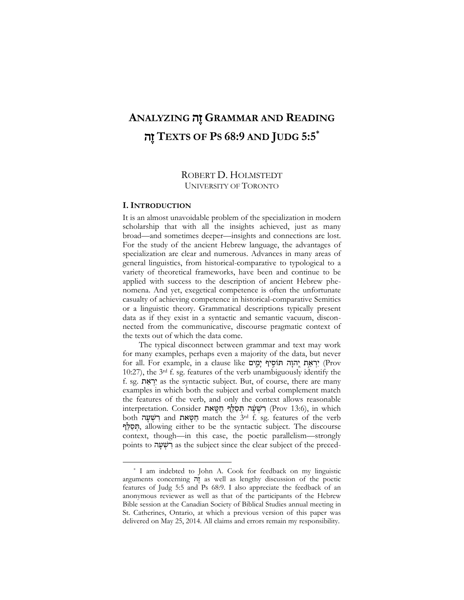# **ANALYZING** ה ֶז **GRAMMAR AND READING**  ה ֶז **TEXTS OF PS 68:9 AND JUDG 5:5\***

# ROBERT D. HOLMSTEDT UNIVERSITY OF TORONTO

#### **I. INTRODUCTION**

 $\overline{a}$ 

It is an almost unavoidable problem of the specialization in modern scholarship that with all the insights achieved, just as many broad—and sometimes deeper—insights and connections are lost. For the study of the ancient Hebrew language, the advantages of specialization are clear and numerous. Advances in many areas of general linguistics, from historical-comparative to typological to a variety of theoretical frameworks, have been and continue to be applied with success to the description of ancient Hebrew phenomena. And yet, exegetical competence is often the unfortunate casualty of achieving competence in historical-comparative Semitics or a linguistic theory. Grammatical descriptions typically present data as if they exist in a syntactic and semantic vacuum, disconnected from the communicative, discourse pragmatic context of the texts out of which the data come.

The typical disconnect between grammar and text may work for many examples, perhaps even a majority of the data, but never for all. For example, in a clause like יְרְאֵת יְהוָה חִוֹסִיף יַמֵים 10:27), the 3rd f. sg. features of the verb unambiguously identify the f. sg. ת ַא ְר י as the syntactic subject. But, of course, there are many examples in which both the subject and verbal complement match the features of the verb, and only the context allows reasonable interpretation. Consider רִשְׁעָּה תְּסַלֵּף חַשָּאת (Prov 13:6), in which both חַטַאת and חַטּאת match the 3rd f. sg. features of the verb ף לּ ַס ְתּ, allowing either to be the syntactic subject. The discourse context, though—in this case, the poetic parallelism—strongly points to רְשָׁעָה as the subject since the clear subject of the preced-

<sup>\*</sup> I am indebted to John A. Cook for feedback on my linguistic arguments concerning ה ֶז as well as lengthy discussion of the poetic features of Judg 5:5 and Ps 68:9. I also appreciate the feedback of an anonymous reviewer as well as that of the participants of the Hebrew Bible session at the Canadian Society of Biblical Studies annual meeting in St. Catherines, Ontario, at which a previous version of this paper was delivered on May 25, 2014. All claims and errors remain my responsibility.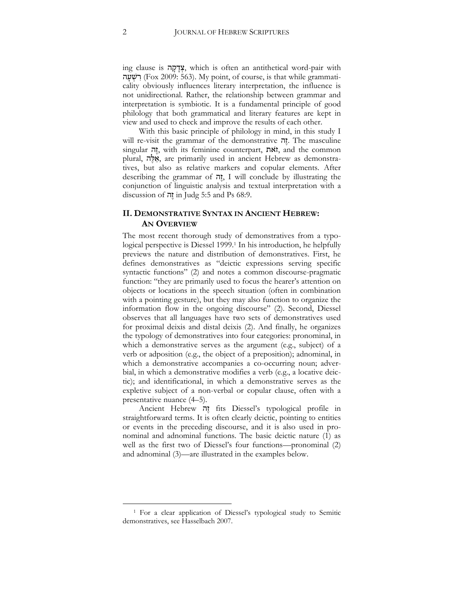ing clause is ה ָק ָד ְצ, which is often an antithetical word-pair with רְשָׁעָה (Fox 2009: 563). My point, of course, is that while grammaticality obviously influences literary interpretation, the influence is not unidirectional. Rather, the relationship between grammar and interpretation is symbiotic. It is a fundamental principle of good philology that both grammatical and literary features are kept in view and used to check and improve the results of each other.

With this basic principle of philology in mind, in this study I will re-visit the grammar of the demonstrative הָה. The masculine singular ה ֶז, with its feminine counterpart, אתֹ ז, and the common plural, ה ֶלּ א, are primarily used in ancient Hebrew as demonstratives, but also as relative markers and copular elements. After describing the grammar of ה  $I$ , I will conclude by illustrating the conjunction of linguistic analysis and textual interpretation with a discussion of  $\overline{\mathfrak{g}}$  in Judg 5:5 and Ps 68:9.

#### **II. DEMONSTRATIVE SYNTAX IN ANCIENT HEBREW: AN OVERVIEW**

The most recent thorough study of demonstratives from a typological perspective is Diessel 1999.<sup>1</sup> In his introduction, he helpfully previews the nature and distribution of demonstratives. First, he defines demonstratives as "deictic expressions serving specific syntactic functions" (2) and notes a common discourse-pragmatic function: "they are primarily used to focus the hearer's attention on objects or locations in the speech situation (often in combination with a pointing gesture), but they may also function to organize the information flow in the ongoing discourse" (2). Second, Diessel observes that all languages have two sets of demonstratives used for proximal deixis and distal deixis (2). And finally, he organizes the typology of demonstratives into four categories: pronominal, in which a demonstrative serves as the argument (e.g., subject) of a verb or adposition (e.g., the object of a preposition); adnominal, in which a demonstrative accompanies a co-occurring noun; adverbial, in which a demonstrative modifies a verb (e.g., a locative deictic); and identificational, in which a demonstrative serves as the expletive subject of a non-verbal or copular clause, often with a presentative nuance (4–5).

Ancient Hebrew ה ֶז fits Diessel's typological profile in straightforward terms. It is often clearly deictic, pointing to entities or events in the preceding discourse, and it is also used in pronominal and adnominal functions. The basic deictic nature (1) as well as the first two of Diessel's four functions—pronominal (2) and adnominal (3)—are illustrated in the examples below.

 $\overline{a}$ 

<sup>1</sup> For a clear application of Diessel's typological study to Semitic demonstratives, see Hasselbach 2007.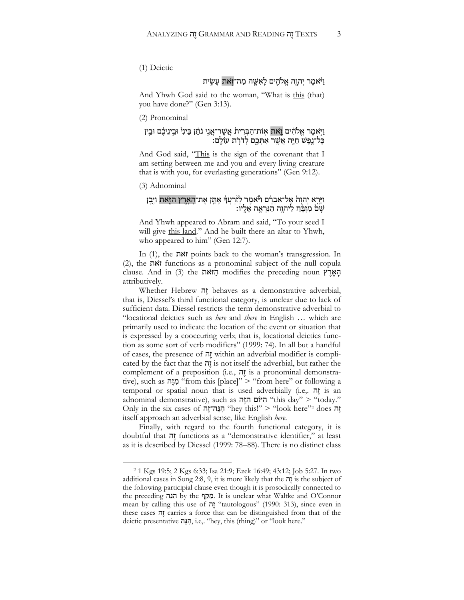(1) Deictic

# וַ י<sup>ּ</sup>ֹאמֶר יִהוֶה אֱלֹהֵים לַאִשֶּׁה מַה־זִּאת עַשִִׂית

And Yhwh God said to the woman, "What is this (that) you have done?" (Gen 3:13).

(2) Pronominal

#### וַיִּאמֶר אֱלֹהִים **וָאת אִות־הַבְּרִית אֲשֶׁר־אֲנֶי נֹתֵן** בֵּינִי וּבֵינִיכֶם וּבֵין ּ כְּל־נֶפֶשׁ חַיֶּה אֲשֶׁר אִתְּכֶם לְדֹרָת עוֹלֶם:

And God said, "This is the sign of the covenant that I am setting between me and you and every living creature that is with you, for everlasting generations" (Gen 9:12).

(3) Adnominal

 $\overline{a}$ 

#### וַיֵּרֶא יְהוָהֹ אֶל־אַבְרָם וַיֹּאמֶר לְזַ֫רְעֲדָ אֶתֵן אֶת־הָאָרֶץ הַזָּאת וַיִּבֶן ַ שָׁם מִזְבֵּ֫חַ לַיהוֶה הַנִּרְאֶה אֵלֶיו:

And Yhwh appeared to Abram and said, "To your seed I will give this land." And he built there an altar to Yhwh, who appeared to him" (Gen 12:7).

In (1), the אתֹ ז points back to the woman's transgression. In (2), the אתֹ ז functions as a pronominal subject of the null copula clause. And in (3) the הְיֹאת modifies the preceding noun attributively.

Whether Hebrew ה ֶז behaves as a demonstrative adverbial, that is, Diessel's third functional category, is unclear due to lack of sufficient data. Diessel restricts the term demonstrative adverbial to "locational deictics such as *here* and *there* in English … which are primarily used to indicate the location of the event or situation that is expressed by a cooccuring verb; that is, locational deictics function as some sort of verb modifiers" (1999: 74). In all but a handful of cases, the presence of ה ֶז within an adverbial modifier is complicated by the fact that the  $\vec{n}$  is not itself the adverbial, but rather the complement of a preposition (i.e., ה ֶז is a pronominal demonstrative), such as מְזֶה "from this [place]" > "from here" or following a temporal or spatial noun that is used adverbially (i.e,. ה ֶז is an adnominal demonstrative), such as היוֹם הַזֶּה "this day" > "today." Only in the six cases of יְהְנֵה־זֶה "hey this!" > "look here"<sup>2</sup> does itself approach an adverbial sense, like English *here*.

Finally, with regard to the fourth functional category, it is doubtful that ה tunctions as a "demonstrative identifier," at least as it is described by Diessel (1999: 78–88). There is no distinct class

<sup>2</sup> 1 Kgs 19:5; 2 Kgs 6:33; Isa 21:9; Ezek 16:49; 43:12; Job 5:27. In two additional cases in Song 2:8, 9, it is more likely that the  $\pi$  is the subject of the following participial clause even though it is prosodically connected to the preceding הנה by the נוקף. It is unclear what Waltke and O'Connor mean by calling this use of יָזה "tautologous" (1990: 313), since even in these cases ה carries a force that can be distinguished from that of the deictic presentative הַנֵּה, i.e,. "hey, this (thing)" or "look here."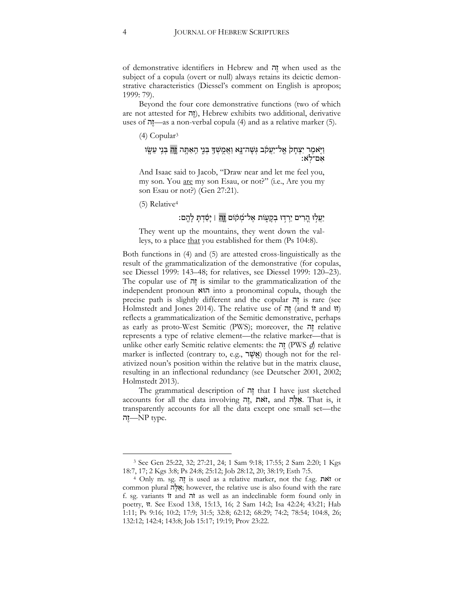of demonstrative identifiers in Hebrew and ה ֶז when used as the subject of a copula (overt or null) always retains its deictic demonstrative characteristics (Diessel's comment on English is apropos; 1999: 79).

Beyond the four core demonstrative functions (two of which are not attested for  $\pi$ ), Hebrew exhibits two additional, derivative uses of הֲדָה as a non-verbal copula (4) and as a relative marker (5).

(4) Copular<sup>3</sup>

#### וַיָּאמֶר יִצְחָק אֱל־יַעֲקֹב גְּשָׁה־נָּא וַאֲמֻשְׁךָּ בְּנֵי הַאַתְּה וֶ**ה**ַ בְּנִי עֵשֶׂו ֹּאָם־לְאָ

And Isaac said to Jacob, "Draw near and let me feel you, my son. You <u>are</u> my son Esau, or not?" (i.e., Are you my son Esau or not?) (Gen 27:21).

(5) Relative<sup>4</sup>

 $\overline{a}$ 

# יַעֲלִוּ הֲרִים יֵרְדִוּ בְקָעָזֹת אֱל־מְקֹוֹם זֶהְ | יָסַדְתָּ לָהֱם:

They went up the mountains, they went down the valleys, to a place that you established for them (Ps 104:8).

Both functions in (4) and (5) are attested cross-linguistically as the result of the grammaticalization of the demonstrative (for copulas, see Diessel 1999: 143–48; for relatives, see Diessel 1999: 120–23). The copular use of ה ֶז is similar to the grammaticalization of the independent pronoun הוּא into a pronominal copula, though the precise path is slightly different and the copular ה ֶז is rare (see Holmstedt and Jones 2014). The relative use of  $\pi$  (and it and it) reflects a grammaticalization of the Semitic demonstrative, perhaps as early as proto-West Semitic (PWS); moreover, the ה ֶז relative represents a type of relative element—the relative marker—that is unlike other early Semitic relative elements: the יְזה (PWS  $q$ ) relative marker is inflected (contrary to, e.g., אֲשֶׁר (אֱשֶׁר though not for the relativized noun's position within the relative but in the matrix clause, resulting in an inflectional redundancy (see Deutscher 2001, 2002; Holmstedt 2013).

The grammatical description of  $\overline{n}$  that I have just sketched accounts for all the data involving הָגֶה, and אֵלֶה, That is, it transparently accounts for all the data except one small set—the יה $NP$  type.

<sup>3</sup> See Gen 25:22, 32; 27:21, 24; 1 Sam 9:18; 17:55; 2 Sam 2:20; 1 Kgs 18:7, 17; 2 Kgs 3:8; Ps 24:8; 25:12; Job 28:12, 20; 38:19; Esth 7:5.

<sup>4</sup> Only m. sg. ה ֶז is used as a relative marker, not the f.sg. אתֹ ז or common plural אֲלֶה; however, the relative use is also found with the rare f. sg. variants וֹז and הֹז as well as an indeclinable form found only in poetry, זוּ. See Exod 13:8, 15:13, 16; 2 Sam 14:2; Isa 42:24; 43:21; Hab 1:11; Ps 9:16; 10:2; 17:9; 31:5; 32:8; 62:12; 68:29; 74:2; 78:54; 104:8, 26; 132:12; 142:4; 143:8; Job 15:17; 19:19; Prov 23:22.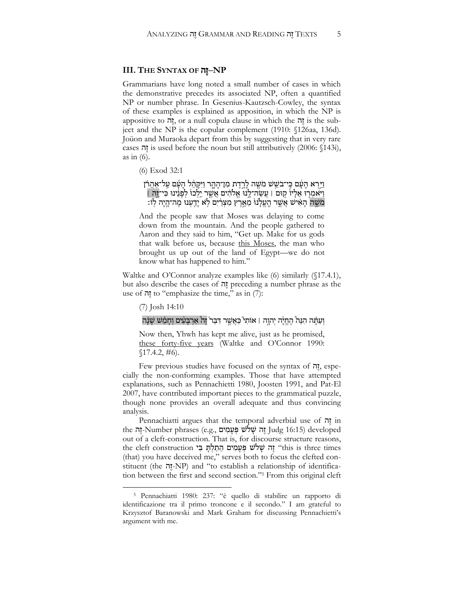#### **III. THE SYNTAX OF** ה ֶז**‒NP**

Grammarians have long noted a small number of cases in which the demonstrative precedes its associated NP, often a quantified NP or number phrase. In Gesenius-Kautzsch-Cowley, the syntax of these examples is explained as apposition, in which the NP is appositive to הָה, or a null copula clause in which the הָוֹה is the subject and the NP is the copular complement (1910: §126aa, 136d). Joüon and Muraoka depart from this by suggesting that in very rare cases ה is used before the noun but still attributively  $(2006: \S143i)$ , as in  $(6)$ .

(6) Exod 32:1

וַיַּרְא הָעָ֫ם כִּי־בֹשֵׁשׁ מֹשֶׁה לָרֶדֶת מִן־הָהֶר וַיִּקְהֵ֫ל הָעָۢם עַל־<u>אַה</u>ַרֹּן וַ יִּאמְרָוּ אֵלְיוֹ קוּם | עֲשֶׂה־לָנוֹ אֱלֹהִים אֲשֶׁרַ יִלְכוּ לְפָנֵינוּ כִּי־יֶ**וְה**َ | מֹשֶׁה הָאִישׁ אֲשֱר הֶעֱלְנוּ מֵאֶרֶץ מִצְרַיִם לְא יָדַעְנוּ מֶה־הָיָה לְוֹ:

And the people saw that Moses was delaying to come down from the mountain. And the people gathered to Aaron and they said to him, "Get up. Make for us gods that walk before us, because this Moses, the man who brought us up out of the land of Egypt—we do not know what has happened to him."

Waltke and O'Connor analyze examples like (6) similarly (§17.4.1), but also describe the cases of ה ֶז preceding a number phrase as the use of  $\pi$ ! to "emphasize the time," as in (7):

#### (7) Josh 14:10

 $\overline{a}$ 

#### וְעַתָּה הִנֵּה הֶחֱיָה יְהוֶה | אוֹתִי כַּאֲשֶׁר דִּבֵר וֶה אַרְבָּעִים וְחָמֵשׁ שָׁנָּה

Now then, Yhwh has kept me alive, just as he promised, <u>these forty-five years</u> (Waltke and O'Connor 1990:  $$17.4.2, #6$ ).

Few previous studies have focused on the syntax of הָדָה, especially the non-conforming examples. Those that have attempted explanations, such as Pennachietti 1980, Joosten 1991, and Pat-El 2007, have contributed important pieces to the grammatical puzzle, though none provides an overall adequate and thus convincing analysis.

Pennachiatti argues that the temporal adverbial use of ה ֶז in the זֶה indg 16:15) developed) זֶה שָׁלֹשׁ פִּעָמִים .judg 16:15 זֻה out of a cleft-construction. That is, for discourse structure reasons, the cleft construction הַתַּלְתָּ בִּי יוֹחַ יֹשָׁלֹשׁ בְּעָמִים הַתַּלְתָּ בִּי (that) you have deceived me," serves both to focus the clefted constituent (the הָה NP) and "to establish a relationship of identification between the first and second section."<sup>5</sup> From this original cleft

<sup>5</sup> Pennachiatti 1980: 237: "è quello di stabilire un rapporto di identificazione tra il primo troncone e il secondo." I am grateful to Krzysztof Baranowski and Mark Graham for discussing Pennachietti's argument with me.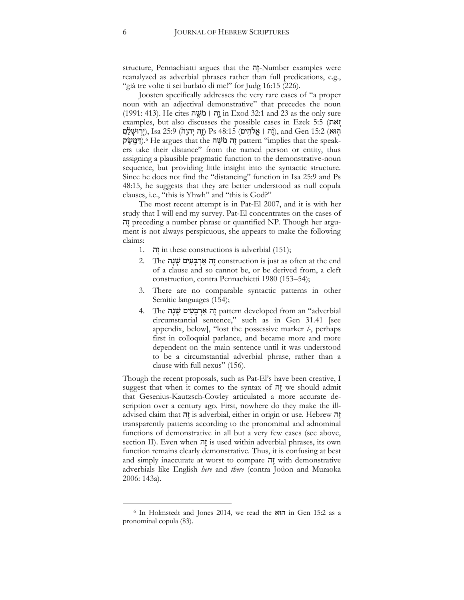structure, Pennachiatti argues that the הָה Number examples were reanalyzed as adverbial phrases rather than full predications, e.g., "già tre volte ti sei burlato di me!" for Judg 16:15 (226).

Joosten specifically addresses the very rare cases of "a proper noun with an adjectival demonstrative" that precedes the noun (1991: 413). He cites ה ֣ ֶשֹׁמִ׀ִה֣ ֶז in Exod 32:1 and 23 as the only sure examples, but also discusses the possible cases in Ezek 5:5 (אתו הִוּא) 15:2 Sta (יִרְוּשָׁלַם;) Ps 48:15 (זֶה יְהוָה), and Gen 15:2 (יִרְוּשָׁלַם ָה מֹשֶׁה אֵה יוֹ pattern "implies that the speakers take their distance" from the named person or entity, thus assigning a plausible pragmatic function to the demonstrative-noun sequence, but providing little insight into the syntactic structure. Since he does not find the "distancing" function in Isa 25:9 and Ps 48:15, he suggests that they are better understood as null copula clauses, i.e., "this is Yhwh" and "this is God?"

The most recent attempt is in Pat-El 2007, and it is with her study that I will end my survey. Pat-El concentrates on the cases of ה ֶז preceding a number phrase or quantified NP. Though her argument is not always perspicuous, she appears to make the following claims:

- 1. ה ֶז in these constructions is adverbial (151);
- יָה אַרְבָּעִים שַׁנָה construction is just as often at the end of a clause and so cannot be, or be derived from, a cleft construction, contra Pennachietti 1980 (153–54);
- 3. There are no comparable syntactic patterns in other Semitic languages (154);
- 4. The זֶה אַרְבָּעִים שָׁנָה pattern developed from an "adverbial circumstantial sentence," such as in Gen 31.41 [see appendix, below], "lost the possessive marker *l-*, perhaps first in colloquial parlance, and became more and more dependent on the main sentence until it was understood to be a circumstantial adverbial phrase, rather than a clause with full nexus" (156).

Though the recent proposals, such as Pat-El's have been creative, I suggest that when it comes to the syntax of  $\overline{n}$  we should admit that Gesenius-Kautzsch-Cowley articulated a more accurate description over a century ago. First, nowhere do they make the illadvised claim that ה is adverbial, either in origin or use. Hebrew transparently patterns according to the pronominal and adnominal functions of demonstrative in all but a very few cases (see above, section II). Even when יוה is used within adverbial phrases, its own function remains clearly demonstrative. Thus, it is confusing at best and simply inaccurate at worst to compare ה ֶז with demonstrative adverbials like English *here* and *there* (contra Joüon and Muraoka 2006: 143a).

 $\overline{a}$ 

<sup>6</sup> In Holmstedt and Jones 2014, we read the הוּא in Gen 15:2 as a pronominal copula (83).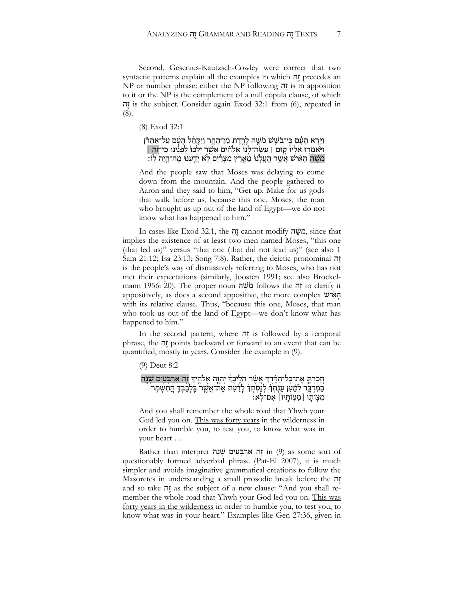Second, Gesenius-Kautzsch-Cowley were correct that two syntactic patterns explain all the examples in which ה precedes an NP or number phrase: either the NP following ה ֶז is in apposition to it or the NP is the complement of a null copula clause, of which ה ֶז is the subject. Consider again Exod 32:1 from (6), repeated in (8).

(8) Exod 32:1

#### וַיֵּרְא הָעָ֫ם כִּי־בֹשֵׁשׁ מֹשֶׁה לָרֱדֶת מִן־הָהֶר וַיִּקְרֵ֫ל הָעָۢם עַל־אַהֲרֹן וַ יִּאמְרָוּ אֵלְיוֹ קִוּם | עֲשֶׂה־לָנוֹ אֱלֹהִים אֲשֶׁר יֵלְכוּ לְפָנֵינוּ כִּי־זֶה | ּמֹשֵׁה הָאִישׁ אֲשֵׁר הֵעֵלְנוּ מֵאֵרֵין מִצְרַיִם לְא יַדֲעְנוּ מֶה־הָיַה לְוֹ:

And the people saw that Moses was delaying to come down from the mountain. And the people gathered to Aaron and they said to him, "Get up. Make for us gods that walk before us, because this one, Moses, the man who brought us up out of the land of Egypt—we do not know what has happened to him."

In cases like Exod 32.1, the ה יה cannot modify הלשה, since that implies the existence of at least two men named Moses, "this one (that led us)" versus "that one (that did not lead us)" (see also 1 Sam 21:12; Isa 23:13; Song 7:8). Rather, the deictic pronominal ה is the people's way of dismissively referring to Moses, who has not met their expectations (similarly, Joosten 1991; see also Brockelmann 1956: 20). The proper noun ה ֶשֹׁמ follows the ה ֶז to clarify it appositively, as does a second appositive, the more complex  $\psi$ הָא with its relative clause. Thus, "because this one, Moses, that man who took us out of the land of Egypt—we don't know what has happened to him."

In the second pattern, where  $\vec{n}$  is followed by a temporal phrase, the ה
phrase, the ה
phrase in points backward or forward to an event that can be quantified, mostly in years. Consider the example in (9).

(9) Deut 8:2

וְזָכַרְתָּ אֶת־כָּל־הַדֶּ֫רֶךְּ אֲשֶׁר הֹלֵיכֲדְ יִהְוֶה אֱלֹהֱיִךָּ וֵ֑ה אַרְבָּעֵים שָׁנֵה בַּמִּדְבֶּר לְמַ֫עַן עַנִּ֫תְדִּ לְנַסְתְדִּ לְדַ֫עַת אֶת־אֲשֱר בִּלְבָבְדֶּ הֲתִשְׁמְר מִצְוֹתָו [מִצְוֹתָיו] אִם־לְּא׃

And you shall remember the whole road that Yhwh your God led you on. This was forty years in the wilderness in order to humble you, to test you, to know what was in your heart …

Rather than interpret וָה אַרְבָּעִים שָׁנָה in (9) as some sort of questionably formed adverbial phrase (Pat-El 2007), it is much simpler and avoids imaginative grammatical creations to follow the Masoretes in understanding a small prosodic break before the ה and so take ה as the subject of a new clause: "And you shall remember the whole road that Yhwh your God led you on. This was forty years in the wilderness in order to humble you, to test you, to know what was in your heart." Examples like Gen 27:36, given in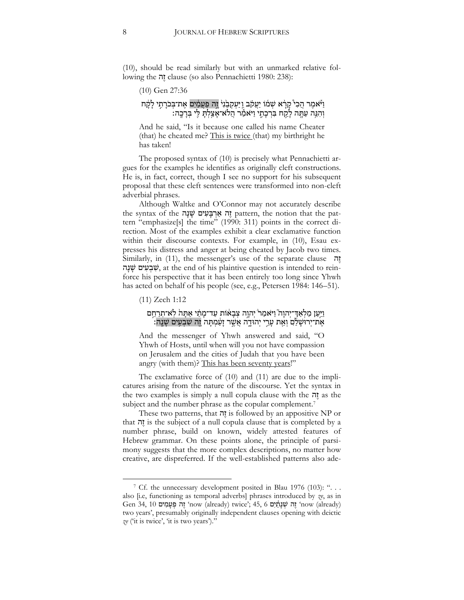(10), should be read similarly but with an unmarked relative following the ה ֶז clause (so also Pennachietti 1980: 238):

(10) Gen 27:36

#### וַ יֹּאמֶר הֲכִי קָרָ֫א שְׁמֹוֹ יַעֲקֹב וַיַּעְקְבֵׂנִי דֶֽה פַּעֲמַ֫יִם אֶת־בְּכֹרָתֶי לָקֶת וְהִגֵּה עַתָּה לָקַח בִּרְכָתֶי וַיּאמַׂר הֲלֹא־אָצַלְתָּ לִי בְּרָכֶה:

And he said, "Is it because one called his name Cheater (that) he cheated me? This is twice (that) my birthright he has taken!

The proposed syntax of (10) is precisely what Pennachietti argues for the examples he identifies as originally cleft constructions. He is, in fact, correct, though I see no support for his subsequent proposal that these cleft sentences were transformed into non-cleft adverbial phrases.

Although Waltke and O'Connor may not accurately describe the syntax of the **יְנִים עֻׁנָה אַרְבַּעִים (**pattern, the notion that the pattern "emphasize[s] the time" (1990: 311) points in the correct direction. Most of the examples exhibit a clear exclamative function within their discourse contexts. For example, in (10), Esau expresses his distress and anger at being cheated by Jacob two times. Similarly, in (11), the messenger's use of the separate clause ִ ה ֶז שְׁבָעִים עֻׁנָה, at the end of his plaintive question is intended to reinforce his perspective that it has been entirely too long since Yhwh has acted on behalf of his people (see, e.g., Petersen 1984: 146–51).

(11) Zech 1:12

 $\overline{a}$ 

#### וַיַּעַן מַלְאַדִּ־יְהוָה ֿוַיֹּאמַר יְהוֶה צְבָאוֹת עַד־מָתַ֫י אַתָּה לְאִ־תִרַחֵם :אֶת־יְרוּשָׁלַם וְאֵת עָרֵי יְהוּדֶה אֲשֶׁר זָעַ֫מְתָּה זֶה שִׁבְעִים שָׁנֵה

And the messenger of Yhwh answered and said, "O Yhwh of Hosts, until when will you not have compassion on Jerusalem and the cities of Judah that you have been angry (with them)? This has been seventy years!"

The exclamative force of (10) and (11) are due to the implicatures arising from the nature of the discourse. Yet the syntax in the two examples is simply a null copula clause with the ה
the two examples is simply a null copula clause with the  $\bar{n}$ subject and the number phrase as the copular complement.<sup>7</sup>

These two patterns, that  $\bar{n}$  is followed by an appositive NP or that ה ֶז is the subject of a null copula clause that is completed by a number phrase, build on known, widely attested features of Hebrew grammar. On these points alone, the principle of parsimony suggests that the more complex descriptions, no matter how creative, are dispreferred. If the well-established patterns also ade-

<sup>&</sup>lt;sup>7</sup> Cf. the unnecessary development posited in Blau 1976 (103): ". . . also [i.e, functioning as temporal adverbs] phrases introduced by *ze*, as in Gen 34,  $10$  יָה פְּעָמִים (already) twice';  $45, 6$  זֶה יעוֹת (already) זֶה יִעוֹת two years', presumably originally independent clauses opening with deictic *ze* ('it is twice', 'it is two years')."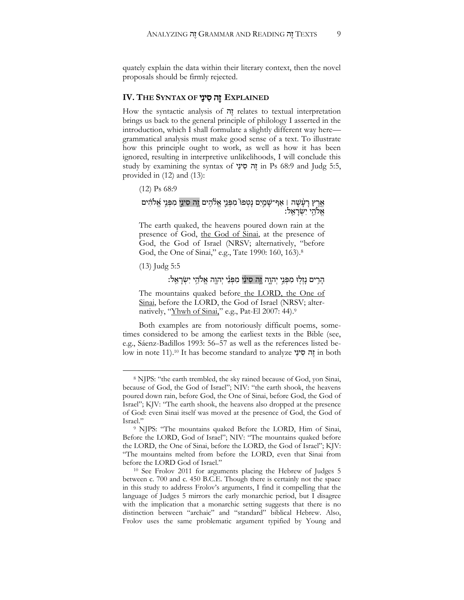quately explain the data within their literary context, then the novel proposals should be firmly rejected.

#### **EXPLAINED** זֶ הִס ינַ י **OF SYNTAX THE .IV**

How the syntactic analysis of יָזה relates to textual interpretation brings us back to the general principle of philology I asserted in the introduction, which I shall formulate a slightly different way here grammatical analysis must make good sense of a text. To illustrate how this principle ought to work, as well as how it has been ignored, resulting in interpretive unlikelihoods, I will conclude this study by examining the syntax of י ַינ סִ ה ֶז in Ps 68:9 and Judg 5:5, provided in (12) and (13):

(12) Ps 68:9

#### אֶרֶץ רָעָ֫שָׁה | אַף־שָׁמַיִם נָטְפוּ מִפְּנֵי אֱלֹהִים וֶ֣ה סִינֵי מִפְּנֵי אֱלֹהִים ָ אֱלֹהֵי יִשְׂרָאֱלֹ

The earth quaked, the heavens poured down rain at the presence of God, the God of Sinai, at the presence of God, the God of Israel (NRSV; alternatively, "before God, the One of Sinai," e.g., Tate 1990: 160, 163).<sup>8</sup>

(13) Judg 5:5

 $\overline{a}$ 

# ּהָרִים נַזְלִוּ מִפְּנֵי יִהְוֶה זֵה סִינַי מִפְּנֵי יִהְוֶה אֱלֹהֵי יִשְׂרָאֱלֹ׃

The mountains quaked before the LORD, the One of Sinai, before the LORD, the God of Israel (NRSV; alternatively, "<u>Yhwh of Sinai,</u>" e.g., Pat-El 2007: 44).<sup>9</sup>

Both examples are from notoriously difficult poems, sometimes considered to be among the earliest texts in the Bible (see, e.g., Sáenz-Badillos 1993: 56–57 as well as the references listed below in note 11).<sup>10</sup> It has become standard to analyze י ַינ ס ה ֶז in both

<sup>8</sup> NJPS: "the earth trembled, the sky rained because of God, yon Sinai, because of God, the God of Israel"; NIV: "the earth shook, the heavens poured down rain, before God, the One of Sinai, before God, the God of Israel"; KJV: "The earth shook, the heavens also dropped at the presence of God: even Sinai itself was moved at the presence of God, the God of Israel."

<sup>9</sup> NJPS: "The mountains quaked Before the LORD, Him of Sinai, Before the LORD, God of Israel"; NIV: "The mountains quaked before the LORD, the One of Sinai, before the LORD, the God of Israel"; KJV: "The mountains melted from before the LORD, even that Sinai from before the LORD God of Israel."

<sup>10</sup> See Frolov 2011 for arguments placing the Hebrew of Judges 5 between c. 700 and c. 450 B.C.E. Though there is certainly not the space in this study to address Frolov's arguments, I find it compelling that the language of Judges 5 mirrors the early monarchic period, but I disagree with the implication that a monarchic setting suggests that there is no distinction between "archaic" and "standard" biblical Hebrew. Also, Frolov uses the same problematic argument typified by Young and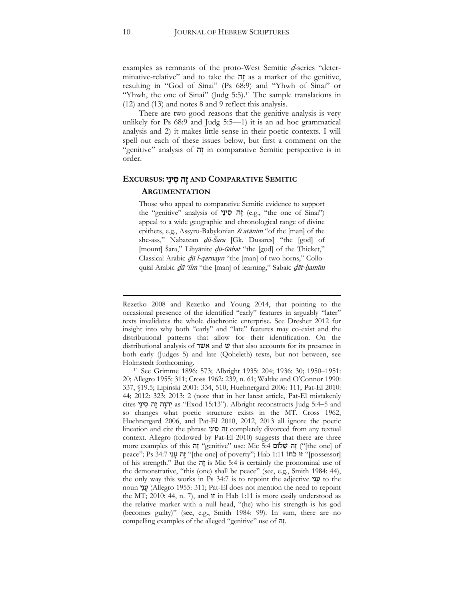examples as remnants of the proto-West Semitic  $d$ -series "determinative-relative" and to take the ה ֶז as a marker of the genitive, resulting in "God of Sinai" (Ps 68:9) and "Yhwh of Sinai" or "Yhwh, the one of Sinai" (Judg 5:5).<sup>11</sup> The sample translations in (12) and (13) and notes 8 and 9 reflect this analysis.

There are two good reasons that the genitive analysis is very unlikely for Ps 68:9 and Judg 5:5—1) it is an ad hoc grammatical analysis and 2) it makes little sense in their poetic contexts. I will spell out each of these issues below, but first a comment on the "genitive" analysis of ה ֶז in comparative Semitic perspective is in order.

#### **SEMITIC COMPARATIVE AND** זֶ הִס ינַ י **:EXCURSUS**

#### **ARGUMENTATION**

Those who appeal to comparative Semitic evidence to support the "genitive" analysis of יה סִינַי (e.g., "the one of Sinai") appeal to a wide geographic and chronological range of divine epithets, e.g., Assyro-Babylonian *ši atānim* "of the [man] of the she-ass," Nabatean *dū-Šara* [Gk. Dusares] "the [god] of [mount] Šara," Lihyānite *dū-Ġābat* "the [god] of the Thicket," Classical Arabic dū l-qarnayn "the [man] of two horns," Colloquial Arabic *dū 'ilm* "the [man] of learning," Sabaic *dāt-hamīm* 

1

Rezetko 2008 and Rezetko and Young 2014, that pointing to the occasional presence of the identified "early" features in arguably "later" texts invalidates the whole diachronic enterprise. See Dresher 2012 for insight into why both "early" and "late" features may co-exist and the distributional patterns that allow for their identification. On the distributional analysis of אשׁר and  $\ddot{v}$  that also accounts for its presence in both early (Judges 5) and late (Qoheleth) texts, but not between, see Holmstedt forthcoming.

<sup>11</sup> See Grimme 1896: 573; Albright 1935: 204; 1936: 30; 1950–1951: 20; Allegro 1955: 311; Cross 1962: 239, n. 61; Waltke and O'Connor 1990: 337, §19.5; Lipinski 2001: 334, 510; Huehnergard 2006: 111; Pat-El 2010: 44; 2012: 323; 2013: 2 (note that in her latest article, Pat-El mistakenly cites יְהוָה זֵה סִינַי as "Exod 15:13"). Albright reconstructs Judg 5:4-5 and so changes what poetic structure exists in the MT. Cross 1962, Huehnergard 2006, and Pat-El 2010, 2012, 2013 all ignore the poetic lineation and cite the phrase יָה סִינַי completely divorced from any textual context. Allegro (followed by Pat-El 2010) suggests that there are three more examples of this הֵה "genitive" use: Mic 5:4 וֹהֵה שָׁלוֹם (fthe one] of peace"; Ps 34:7 זה עֲנִי "[the one] of poverty"; Hab 1:11 זוּ כֹחוֹ $\blacksquare$ ] זוֹ  $\blacksquare$ [possessor] of his strength." But the ה ֶז is Mic 5:4 is certainly the pronominal use of the demonstrative, "this (one) shall be peace" (see, e.g., Smith 1984: 44), the only way this works in Ps  $34:7$  is to repoint the adjective  $\psi$  to the noun יָנָנִי (Allegro 1955: 311; Pat-El does not mention the need to repoint the MT; 2010: 44, n. 7), and זוּ in Hab 1:11 is more easily understood as the relative marker with a null head, "(he) who his strength is his god (becomes guilty)" (see, e.g., Smith 1984: 99). In sum, there are no compelling examples of the alleged "genitive" use of הָזֶה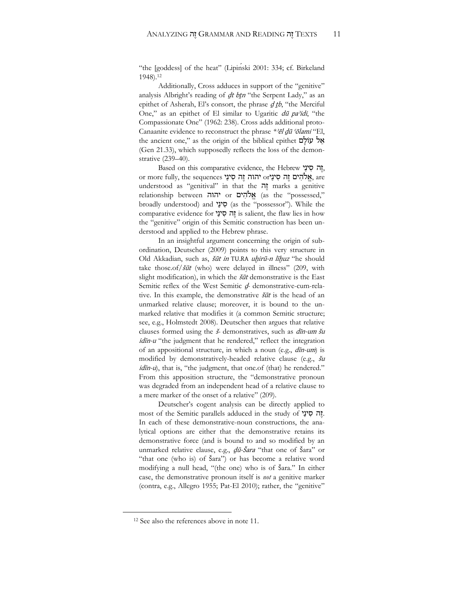"the [goddess] of the heat" (Lipinski 2001: 334; cf. Birkeland 1948).<sup>12</sup>

Additionally, Cross adduces in support of the "genitive" analysis Albright's reading of dt btn "the Serpent Lady," as an epithet of Asherah, El's consort, the phrase  $d$  the Merciful One," as an epithet of El similar to Ugaritic *dū pa'idi*, "the Compassionate One" (1962: 238). Cross adds additional proto-Canaanite evidence to reconstruct the phrase *\** <sup>2</sup> $\bar{e}$ l dū 'ōlami' "El, the ancient one," as the origin of the biblical epithet **עוֹלָם** (Gen 21.33), which supposedly reflects the loss of the demonstrative (239–40).

Based on this comparative evidence, the Hebrew יָזָה סִינַי, or more fully, the sequences אֱלֹהִים זֶה סִינַי $\alpha$  יהוה זֵה סִינַי  $\alpha$ understood as "genitival" in that the הָה marks a genitive relationship between אֱלֹהִים or יהוה (as the "possessed," broadly understood) and סִינַי (as the "possessor"). While the comparative evidence for  $\overline{y}$  is salient, the flaw lies in how the "genitive" origin of this Semitic construction has been understood and applied to the Hebrew phrase.

In an insightful argument concerning the origin of subordination, Deutscher (2009) points to this very structure in Old Akkadian, such as, šūt in TU.RA uhirū-n līhuz "he should take those.of/ $\delta \bar{u}t$  (who) were delayed in illness" (209, with slight modification), in which the *šūt* demonstrative is the East Semitic reflex of the West Semitic  $d$ - demonstrative-cum-relative. In this example, the demonstrative  $\delta \bar{u}t$  is the head of an unmarked relative clause; moreover, it is bound to the unmarked relative that modifies it (a common Semitic structure; see, e.g., Holmstedt 2008). Deutscher then argues that relative clauses formed using the  $\zeta$ -demonstratives, such as *din-um šu* idīn-u "the judgment that he rendered," reflect the integration of an appositional structure, in which a noun (e.g.,  $d\bar{n}$ -um) is modified by demonstratively-headed relative clause (e.g., *šu idin-u*), that is, "the judgment, that one of (that) he rendered." From this apposition structure, the "demonstrative pronoun was degraded from an independent head of a relative clause to a mere marker of the onset of a relative" (209).

Deutscher's cogent analysis can be directly applied to most of the Semitic parallels adduced in the study of י**ְזה סִינֵי**. In each of these demonstrative-noun constructions, the analytical options are either that the demonstrative retains its demonstrative force (and is bound to and so modified by an unmarked relative clause, e.g., dū-Šara "that one of Šara" or "that one (who is) of  $\check{S}$ ara") or has become a relative word modifying a null head, "(the one) who is of Šara." In either case, the demonstrative pronoun itself is *not* a genitive marker (contra, e.g., Allegro 1955; Pat-El 2010); rather, the "genitive"

 $\overline{a}$ 

<sup>&</sup>lt;sup>12</sup> See also the references above in note 11.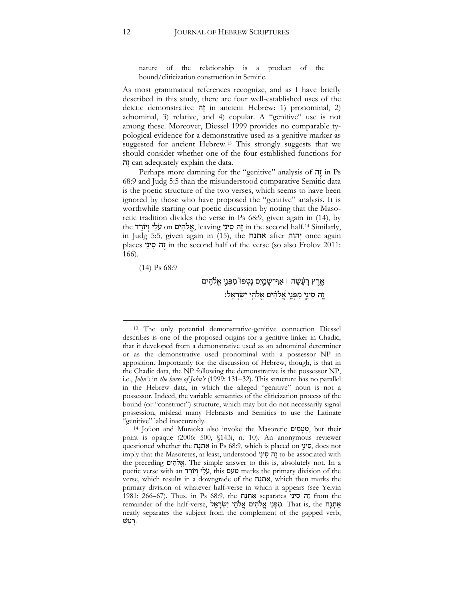nature of the relationship is a product of the bound/cliticization construction in Semitic.

As most grammatical references recognize, and as I have briefly described in this study, there are four well-established uses of the deictic demonstrative ה ֶז in ancient Hebrew: 1) pronominal, 2) adnominal, 3) relative, and 4) copular. A "genitive" use is not among these. Moreover, Diessel 1999 provides no comparable typological evidence for a demonstrative used as a genitive marker as suggested for ancient Hebrew.<sup>13</sup> This strongly suggests that we should consider whether one of the four established functions for ה ֶז can adequately explain the data.

Perhaps more damning for the "genitive" analysis of ה ֶז in Ps 68:9 and Judg 5:5 than the misunderstood comparative Semitic data is the poetic structure of the two verses, which seems to have been ignored by those who have proposed the "genitive" analysis. It is worthwhile starting our poetic discussion by noting that the Masoretic tradition divides the verse in Ps 68:9, given again in (14), by the יְה סִינַי seaving הֵה סִינַי in the second half.<sup>14</sup> Similarly, in Judg 5:5, given again in (15), the מְתָנָח after יְהוָה once again places י ַינ ס ה ֶז in the second half of the verse (so also Frolov 2011: 166).

(14) Ps 68:9

 $\overline{a}$ 

# אֶרֶץ רָעָ<mark>֫שָׁה | אַף־שָׁמַיִם נָטְפוּ</mark> מִפְּנֵי אֱלֹהֶים ַיֶּה סִינֵי מִפְּנֵי אֱלֹהִ֫ים אֱלֹהֵי יִשְׂרָאֱלֹ:

<sup>13</sup> The only potential demonstrative-genitive connection Diessel describes is one of the proposed origins for a genitive linker in Chadic, that it developed from a demonstrative used as an adnominal determiner or as the demonstrative used pronominal with a possessor NP in apposition. Importantly for the discussion of Hebrew, though, is that in the Chadic data, the NP following the demonstrative is the possessor NP, i.e., *John's* in *the horse of John's* (1999: 131–32). This structure has no parallel in the Hebrew data, in which the alleged "genitive" noun is not a possessor. Indeed, the variable semantics of the cliticization process of the bound (or "construct") structure, which may but do not necessarily signal possession, mislead many Hebraists and Semitics to use the Latinate "genitive" label inaccurately.

<sup>&</sup>lt;sup>14</sup> Joüon and Muraoka also invoke the Masoretic יָטָמְיִם, but their point is opaque (2006: 500, §143i, n. 10). An anonymous reviewer questioned whether the חֲנָה in Ps 68:9, which is placed on יָנוֹ ַינוּ, does not imply that the Masoretes, at least, understood י ַינ סִה ֶז to be associated with the preceding ים להֹ ֱא. The simple answer to this is, absolutely not. In a poetic verse with an טעם narks the primary division of the verse, which results in a downgrade of the **אֲתַנָה**, which then marks the primary division of whatever half-verse in which it appears (see Yeivin  $1981: 266-67$ . Thus, in Ps  $68:9$ , the אֲתְנָח separates יְה from the remainder of the half-verse, אֲתָנָה יִשְׂרָאֱל .That is, the אֲתָנָח neatly separates the subject from the complement of the gapped verb, ָרַעַשׁ.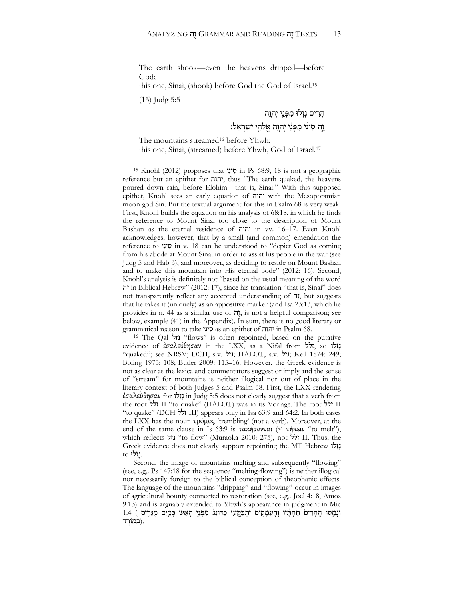The earth shook—even the heavens dripped—before God;

this one, Sinai, (shook) before God the God of Israel.<sup>15</sup>

(15) Judg 5:5

 $\overline{a}$ 

הָרֵים נַזְלְוּ מִפְּנֵי יִהְוֶה זֶה סִינַי מִפְּנֵי יִהְוֶה אֱלֹהֱי יִשְׂרָאֱלֹ:

The mountains streamed<sup>16</sup> before Yhwh; this one, Sinai, (streamed) before Yhwh, God of Israel.<sup>17</sup>

<sup>16</sup> The Qal נזל" flows" is often repointed, based on the putative evidence of ἐσαλεύθησαν in the LXX, as a Nifal from זלל, so לּוֹּז ָנ "quaked"; see NRSV; DCH, s.v. נזל; HALOT, s.v. נזל; Keil 1874: 249; Boling 1975: 108; Butler 2009: 115–16. However, the Greek evidence is not as clear as the lexica and commentators suggest or imply and the sense of "stream" for mountains is neither illogical nor out of place in the literary context of both Judges 5 and Psalm 68. First, the LXX rendering έσαλεύθησαν for *i* נָזְלוֹ in Judg 5:5 does not clearly suggest that a verb from the root זלל II "to quake" (HALOT) was in its Vorlage. The root זלל II "to quake" (DCH זלל III) appears only in Isa 63:9 and 64:2. In both cases the LXX has the noun τρόμος 'trembling' (not a verb). Moreover, at the end of the same clause in Is 63:9 is τακήσονται (< τήκειν "to melt"), which reflects נזל" to flow" (Muraoka 2010: 275), not זלל II. Thus, the Greek evidence does not clearly support repointing the MT Hebrew נָזְלוּ .נָ זֹּלוּ to

Second, the image of mountains melting and subsequently "flowing" (see, e.g,. Ps 147:18 for the sequence "melting-flowing") is neither illogical nor necessarily foreign to the biblical conception of theophanic effects. The language of the mountains "dripping" and "flowing" occur in images of agricultural bounty connected to restoration (see, e.g,. Joel 4:18, Amos 9:13) and is arguably extended to Yhwh's appearance in judgment in Mic וְנָמֵסוּ הֱהָרִים תַּחְתָּיו וְהָעֲמָקִים יִתְבַּקֶעוּ כַּדּוֹנַג! מִפְּנֵי הָאֵּשׁ כְּמַיִם מֻגָּרֶים 1.4 ( .(בְּ מֹורָ ָֽ ד

<sup>15</sup> Knohl (2012) proposes that סִינָי in Ps 68:9, 18 is not a geographic reference but an epithet for יהוה, thus "The earth quaked, the heavens poured down rain, before Elohim—that is, Sinai." With this supposed epithet, Knohl sees an early equation of יהוה with the Mesopotamian moon god Sin. But the textual argument for this in Psalm 68 is very weak. First, Knohl builds the equation on his analysis of 68:18, in which he finds the reference to Mount Sinai too close to the description of Mount Bashan as the eternal residence of יהוה in vv. 16–17. Even Knohl acknowledges, however, that by a small (and common) emendation the reference to יוַנֵּי in v. 18 can be understood to "depict God as coming from his abode at Mount Sinai in order to assist his people in the war (see Judg 5 and Hab 3), and moreover, as deciding to reside on Mount Bashan and to make this mountain into His eternal bode" (2012: 16). Second, Knohl's analysis is definitely not "based on the usual meaning of the word זה in Biblical Hebrew" (2012: 17), since his translation "that is, Sinai" does not transparently reflect any accepted understanding of  $\pi$ , but suggests that he takes it (uniquely) as an appositive marker (and Isa 23:13, which he provides in n. 44 as a similar use of  $\vec{n}$ , is not a helpful comparison; see below, example (41) in the Appendix). In sum, there is no good literary or grammatical reason to take י ַינ ס as an epithet of יהוה in Psalm 68.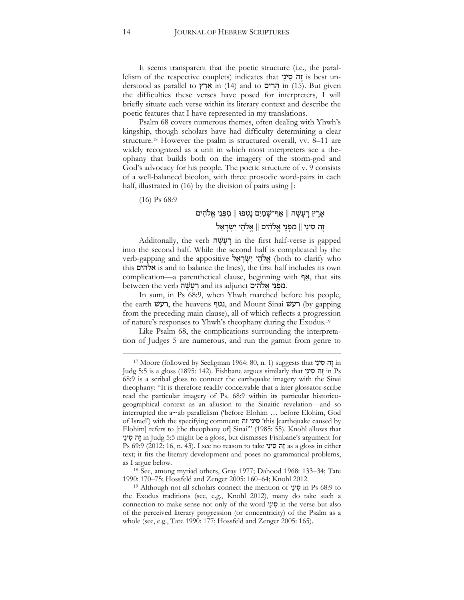It seems transparent that the poetic structure (i.e., the parallelism of the respective couplets) indicates that יה סִינַי is best understood as parallel to אֲרֵץ in (14) and to הְרִים in (15). But given the difficulties these verses have posed for interpreters, I will briefly situate each verse within its literary context and describe the poetic features that I have represented in my translations.

Psalm 68 covers numerous themes, often dealing with Yhwh's kingship, though scholars have had difficulty determining a clear structure.<sup>18</sup> However the psalm is structured overall, vv. 8–11 are widely recognized as a unit in which most interpreters see a theophany that builds both on the imagery of the storm-god and God's advocacy for his people. The poetic structure of v. 9 consists of a well-balanced bicolon, with three prosodic word-pairs in each half, illustrated in (16) by the division of pairs using  $\parallel$ :

(16) Ps 68:9

1

# אֶרֵץ רָעָשָׁה || אַף־שַׁמַיִם נָטְפוּ || מִפְּנֵי אֱלֹהִים זֶה סִינַי || מִפְּנֵי אֱלֹהִים || אֱלֹהֵי יִשְׂרַאֵל

Additonally, the verb רְעָשָׂה in the first half-verse is gapped into the second half. While the second half is complicated by the verb-gapping and the appositive אֱלֹהֵי יִשְׂרָאֵל (both to clarify who this אלהים is and to balance the lines), the first half includes its own complication—a parenthetical clause, beginning with  $\gamma$ , that sits hetween the verb רָעָשָׁה and its adjunct בִּוּ אֱלֹהִים.

In sum, in Ps 68:9, when Yhwh marched before his people, the earth רעשׁ, the heavens נטף, and Mount Sinai רעשׁ), hy gapping from the preceding main clause), all of which reflects a progression of nature's responses to Yhwh's theophany during the Exodus.<sup>19</sup>

Like Psalm 68, the complications surrounding the interpretation of Judges 5 are numerous, and run the gamut from genre to

<sup>17</sup> Moore (followed by Seeligman 1964: 80, n. 1) suggests that יָה סִינַי in Judg 5:5 is a gloss (1895: 142). Fishbane argues similarly that יה סִינַי 68:9 is a scribal gloss to connect the earthquake imagery with the Sinai theophany: "It is therefore readily conceivable that a later glossator-scribe read the particular imagery of Ps. 68:9 within its particular historicogeographical context as an allusion to the Sinaitic revelation—and so interrupted the a∼ab parallelism ('before Elohim … before Elohim, God of Israel') with the specifying comment: זהִסיני' this [earthquake caused by Elohim] refers to [the theophany of] Sinai"" (1985: 55). Knohl allows that י ַינ סִה ֶז in Judg 5:5 might be a gloss, but dismisses Fishbane's argument for Ps 69:9 (2012: 16, n. 43). I see no reason to take יָה סִינַי as a gloss in either text; it fits the literary development and poses no grammatical problems, as I argue below.

<sup>18</sup> See, among myriad others, Gray 1977; Dahood 1968: 133–34; Tate 1990: 170–75; Hossfeld and Zenger 2005: 160–64; Knohl 2012.

<sup>19</sup> Although not all scholars connect the mention of י ַינ ס in Ps 68:9 to the Exodus traditions (see, e.g., Knohl 2012), many do take such a connection to make sense not only of the word י ַינ ס in the verse but also of the perceived literary progression (or concentricity) of the Psalm as a whole (see, e.g., Tate 1990: 177; Hossfeld and Zenger 2005: 165).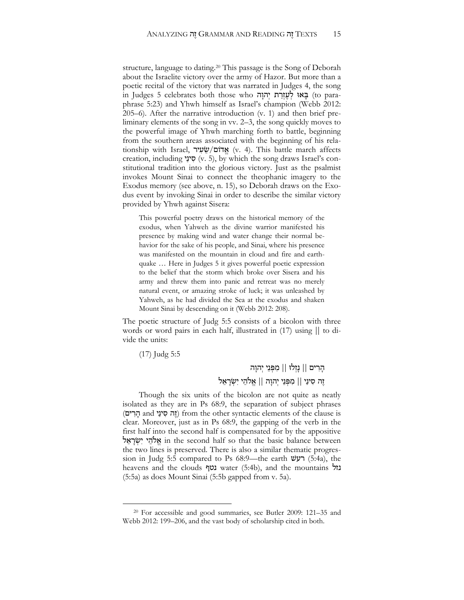structure, language to dating.<sup>20</sup> This passage is the Song of Deborah about the Israelite victory over the army of Hazor. But more than a poetic recital of the victory that was narrated in Judges 4, the song in Judges 5 celebrates both those who ה ָהו ְיִ ת ַר ְז ֶע ְלִ אוּ ָבּ) to paraphrase 5:23) and Yhwh himself as Israel's champion (Webb 2012: 205–6). After the narrative introduction (v. 1) and then brief preliminary elements of the song in vv. 2–3, the song quickly moves to the powerful image of Yhwh marching forth to battle, beginning from the southern areas associated with the beginning of his relationship with Israel, אֲדוֹם/שֵׂעִיר (v. 4). This battle march affects creation, including **ייני** (v. 5), by which the song draws Israel's constitutional tradition into the glorious victory. Just as the psalmist invokes Mount Sinai to connect the theophanic imagery to the Exodus memory (see above, n. 15), so Deborah draws on the Exodus event by invoking Sinai in order to describe the similar victory provided by Yhwh against Sisera:

This powerful poetry draws on the historical memory of the exodus, when Yahweh as the divine warrior manifested his presence by making wind and water change their normal behavior for the sake of his people, and Sinai, where his presence was manifested on the mountain in cloud and fire and earthquake … Here in Judges 5 it gives powerful poetic expression to the belief that the storm which broke over Sisera and his army and threw them into panic and retreat was no merely natural event, or amazing stroke of luck; it was unleashed by Yahweh, as he had divided the Sea at the exodus and shaken Mount Sinai by descending on it (Webb 2012: 208).

The poetic structure of Judg 5:5 consists of a bicolon with three words or word pairs in each half, illustrated in (17) using || to divide the units:

(17) Judg 5:5

 $\overline{a}$ 

הָרִים || נָזְלוּ || מִפְּנֵי יִהוָה זֶה סִינַי || מִפְּנֵי יְהוָה || אֱלֹהֵי יִשְׂרָאֵל

Though the six units of the bicolon are not quite as neatly isolated as they are in Ps 68:9, the separation of subject phrases (זה סִינֵי and יָזה סִינֵי) from the other syntactic elements of the clause is clear. Moreover, just as in Ps 68:9, the gapping of the verb in the first half into the second half is compensated for by the appositive אֵלהֵי יִשְׂרָאֵל in the second half so that the basic balance between the two lines is preserved. There is also a similar thematic progression in Judg 5:5 compared to Ps 68:9—the earth רעשׁ) 5:4a), the heavens and the clouds נטף water (5:4b), and the mountains נזל (5:5a) as does Mount Sinai (5:5b gapped from v. 5a).

<sup>20</sup> For accessible and good summaries, see Butler 2009: 121–35 and Webb 2012: 199–206, and the vast body of scholarship cited in both.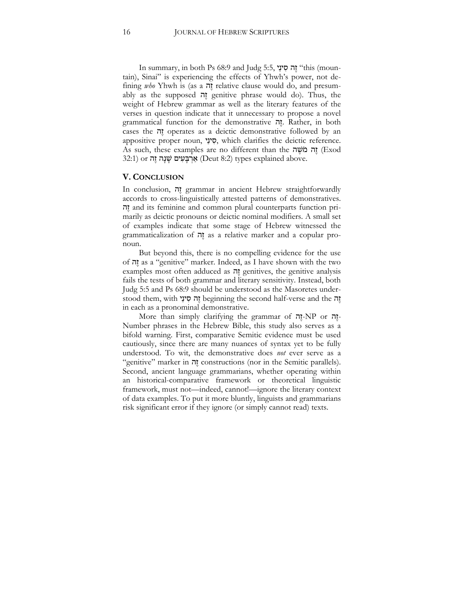In summary, in both Ps 68:9 and Judg 5:5, י ַינ סִה ֶז" this (mountain), Sinai" is experiencing the effects of Yhwh's power, not defining *who* Yhwh is (as a י*זה* relative clause would do, and presumably as the supposed יָזה genitive phrase would do). Thus, the weight of Hebrew grammar as well as the literary features of the verses in question indicate that it unnecessary to propose a novel grammatical function for the demonstrative ה ֶז. Rather, in both cases the ה ֶז operates as a deictic demonstrative followed by an appositive proper noun, סִינֵי, which clarifies the deictic reference. As such, these examples are no different than the ה ֶשֹׁמִ ה ֶז) Exod 32:1) אַרְבָּעִים שָׁנָה זֶה (Deut 8:2 types explained above.

#### **V. CONCLUSION**

In conclusion, ה ֶז grammar in ancient Hebrew straightforwardly accords to cross-linguistically attested patterns of demonstratives. ה ֶז and its feminine and common plural counterparts function primarily as deictic pronouns or deictic nominal modifiers. A small set of examples indicate that some stage of Hebrew witnessed the grammaticalization of ה ֶז as a relative marker and a copular pronoun.

But beyond this, there is no compelling evidence for the use of ה ֶז as a "genitive" marker. Indeed, as I have shown with the two examples most often adduced as ה ֶז genitives, the genitive analysis fails the tests of both grammar and literary sensitivity. Instead, both Judg 5:5 and Ps 68:9 should be understood as the Masoretes understood them, with יה סִינֵי beginning the second half-verse and the הָ in each as a pronominal demonstrative.

More than simply clarifying the grammar of ה ֶז-NP or ה ֶז-Number phrases in the Hebrew Bible, this study also serves as a bifold warning. First, comparative Semitic evidence must be used cautiously, since there are many nuances of syntax yet to be fully understood. To wit, the demonstrative does *not* ever serve as a "genitive" marker in ה ֶז constructions (nor in the Semitic parallels). Second, ancient language grammarians, whether operating within an historical-comparative framework or theoretical linguistic framework, must not—indeed, cannot!—ignore the literary context of data examples. To put it more bluntly, linguists and grammarians risk significant error if they ignore (or simply cannot read) texts.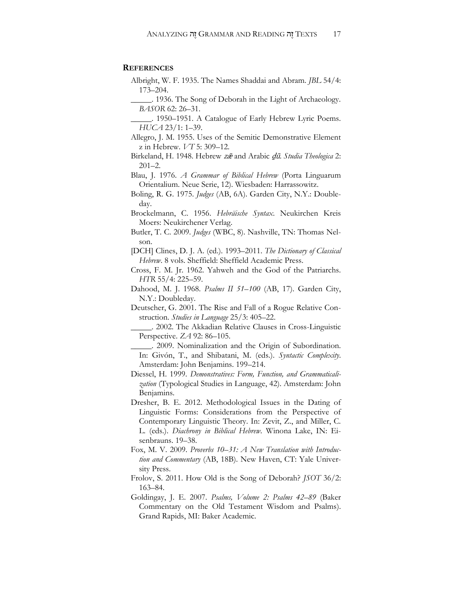#### **REFERENCES**

- Albright, W. F. 1935. The Names Shaddai and Abram. *JBL* 54/4: 173–204.
- \_\_\_\_\_. 1936. The Song of Deborah in the Light of Archaeology. *BASOR* 62: 26–31.
- \_\_\_\_\_. 1950–1951. A Catalogue of Early Hebrew Lyric Poems. *HUCA* 23/1: 1–39.
- Allegro, J. M. 1955. Uses of the Semitic Demonstrative Element z in Hebrew. *VT* 5: 309–12.
- Birkeland, H. 1948. Hebrew zæ and Arabic dū. Studia Theologica 2: 201–2.
- Blau, J. 1976. *A Grammar of Biblical Hebrew* (Porta Linguarum Orientalium. Neue Serie, 12). Wiesbaden: Harrassowitz.
- Boling, R. G. 1975. *Judges* (AB, 6A). Garden City, N.Y.: Doubleday.
- Brockelmann, C. 1956. *Hebräische Syntax*. Neukirchen Kreis Moers: Neukirchener Verlag.
- Butler, T. C. 2009. *Judges* (WBC, 8). Nashville, TN: Thomas Nelson.
- [DCH] Clines, D. J. A. (ed.). 1993–2011. *The Dictionary of Classical Hebrew*. 8 vols. Sheffield: Sheffield Academic Press.
- Cross, F. M. Jr. 1962. Yahweh and the God of the Patriarchs. *HTR* 55/4: 225–59.
- Dahood, M. J. 1968. *Psalms II 51–100* (AB, 17). Garden City, N.Y.: Doubleday.
- Deutscher, G. 2001. The Rise and Fall of a Rogue Relative Construction. *Studies in Language* 25/3: 405–22.
- \_\_\_\_\_. 2002. The Akkadian Relative Clauses in Cross-Linguistic Perspective. *ZA* 92: 86–105.
- \_\_\_\_\_. 2009. Nominalization and the Origin of Subordination. In: Givón, T., and Shibatani, M. (eds.). *Syntactic Complexity*. Amsterdam: John Benjamins. 199–214.
- Diessel, H. 1999. *Demonstratives: Form, Function, and Grammaticalization* (Typological Studies in Language, 42). Amsterdam: John Benjamins.
- Dresher, B. E. 2012. Methodological Issues in the Dating of Linguistic Forms: Considerations from the Perspective of Contemporary Linguistic Theory. In: Zevit, Z., and Miller, C. L. (eds.). *Diachrony in Biblical Hebrew*. Winona Lake, IN: Eisenbrauns. 19–38.
- Fox, M. V. 2009. *Proverbs 10–31: A New Translation with Introduction and Commentary* (AB, 18B). New Haven, CT: Yale University Press.
- Frolov, S. 2011. How Old is the Song of Deborah? *JSOT* 36/2: 163–84.
- Goldingay, J. E. 2007. *Psalms, Volume 2: Psalms 42–89* (Baker Commentary on the Old Testament Wisdom and Psalms). Grand Rapids, MI: Baker Academic.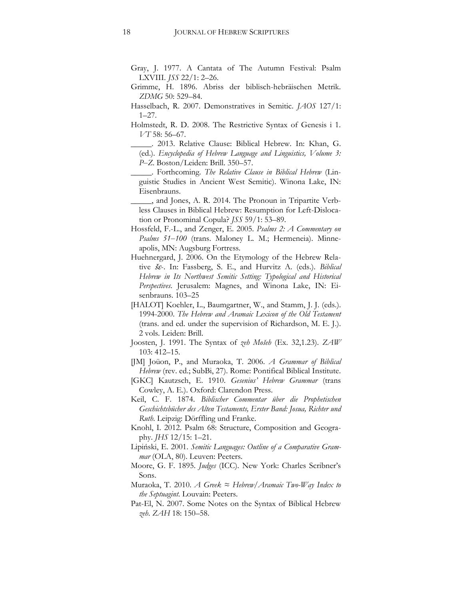- Gray, J. 1977. A Cantata of The Autumn Festival: Psalm LXVIII. *JSS* 22/1: 2–26.
- Grimme, H. 1896. Abriss der biblisch-hebräischen Metrik. *ZDMG* 50: 529–84.
- Hasselbach, R. 2007. Demonstratives in Semitic. *JAOS* 127/1: 1–27.
- Holmstedt, R. D. 2008. The Restrictive Syntax of Genesis i 1. *VT* 58: 56–67.

\_\_\_\_\_. 2013. Relative Clause: Biblical Hebrew. In: Khan, G. (ed.). *Encyclopedia of Hebrew Language and Linguistics, Volume 3: P‒Z*. Boston/Leiden: Brill. 350–57.

- \_\_\_\_\_. Forthcoming. *The Relative Clause in Biblical Hebrew* (Linguistic Studies in Ancient West Semitic). Winona Lake, IN: Eisenbrauns.
- \_\_\_\_\_, and Jones, A. R. 2014. The Pronoun in Tripartite Verbless Clauses in Biblical Hebrew: Resumption for Left-Dislocation or Pronominal Copula? *JSS* 59/1: 53–89.
- Hossfeld, F.-L., and Zenger, E. 2005. *Psalms 2: A Commentary on Psalms 51‒100* (trans. Maloney L. M.; Hermeneia). Minneapolis, MN: Augsburg Fortress.
- Huehnergard, J. 2006. On the Etymology of the Hebrew Relative  $\check{\delta} \varepsilon$ . In: Fassberg, S. E., and Hurvitz A. (eds.). *Biblical Hebrew in Its Northwest Semitic Setting: Typological and Historical Perspectives*. Jerusalem: Magnes, and Winona Lake, IN: Eisenbrauns. 103–25
- [HALOT] Koehler, L., Baumgartner, W., and Stamm, J. J. (eds.). 1994-2000. *The Hebrew and Aramaic Lexicon of the Old Testament* (trans. and ed. under the supervision of Richardson, M. E. J.). 2 vols. Leiden: Brill.
- Joosten, J. 1991. The Syntax of *zeh Mošeh* (Ex. 32,1.23). *ZAW* 103: 412–15.
- [JM] Joüon, P., and Muraoka, T. 2006. *A Grammar of Biblical Hebrew* (rev. ed.; SubBi, 27). Rome: Pontifical Biblical Institute.
- [GKC] Kautzsch, E. 1910. *Gesenius' Hebrew Grammar* (trans Cowley, A. E.). Oxford: Clarendon Press.
- Keil, C. F. 1874. *Biblischer Commentar über die Prophetischen Geschichtsbücher des Alten Testaments, Erster Band: Josua, Richter und Ruth*. Leipzig: Dörffling und Franke.
- Knohl, I. 2012. Psalm 68: Structure, Composition and Geography. *JHS* 12/15: 1–21.
- Lipiński, E. 2001. *Semitic Languages: Outline of a Comparative Grammar* (OLA, 80). Leuven: Peeters.
- Moore, G. F. 1895. *Judges* (ICC). New York: Charles Scribner's Sons.
- Muraoka, T. 2010. *A Greek ≈ Hebrew/Aramaic Two-Way Index to the Septuagint*. Louvain: Peeters.
- Pat-El, N. 2007. Some Notes on the Syntax of Biblical Hebrew *zeh*. *ZAH* 18: 150–58.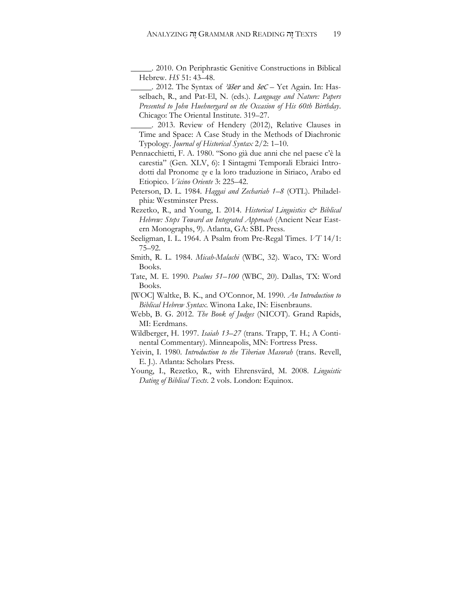\_\_\_\_\_. 2010. On Periphrastic Genitive Constructions in Biblical Hebrew. *HS* 51: 43–48.

- . 2012. The Syntax of *diser* and  $\text{sec} \text{Yet}$  Again. In: Hasselbach, R., and Pat-El, N. (eds.). *Language and Nature: Papers Presented to John Huehnergard on the Occasion of His 60th Birthday*. Chicago: The Oriental Institute. 319–27.
- \_\_\_\_\_. 2013. Review of Hendery (2012), Relative Clauses in Time and Space: A Case Study in the Methods of Diachronic Typology. *Journal of Historical Syntax* 2/2: 1–10.
- Pennacchietti, F. A. 1980. "Sono già due anni che nel paese c'è la carestia" (Gen. XLV, 6): I Sintagmi Temporali Ebraici Introdotti dal Pronome *ze* e la loro traduzione in Siriaco, Arabo ed Etiopico. *Vicino Oriente* 3: 225–42.
- Peterson, D. L. 1984. *Haggai and Zechariah 1–8* (OTL). Philadelphia: Westminster Press.
- Rezetko, R., and Young, I. 2014. *Historical Linguistics & Biblical Hebrew: Steps Toward an Integrated Approach* (Ancient Near Eastern Monographs, 9). Atlanta, GA: SBL Press.
- Seeligman, I. L. 1964. A Psalm from Pre-Regal Times. *VT* 14/1: 75–92.
- Smith, R. L. 1984. *Micah-Malachi* (WBC, 32). Waco, TX: Word Books.
- Tate, M. E. 1990. *Psalms 51–100* (WBC, 20). Dallas, TX: Word Books.
- [WOC] Waltke, B. K., and O'Connor, M. 1990. *An Introduction to Biblical Hebrew Syntax*. Winona Lake, IN: Eisenbrauns.
- Webb, B. G. 2012. *The Book of Judges* (NICOT). Grand Rapids, MI: Eerdmans.
- Wildberger, H. 1997. *Isaiah 13–27* (trans. Trapp, T. H.; A Continental Commentary). Minneapolis, MN: Fortress Press.
- Yeivin, I. 1980. *Introduction to the Tiberian Masorah* (trans. Revell, E. J.). Atlanta: Scholars Press.
- Young, I., Rezetko, R., with Ehrensvärd, M. 2008. *Linguistic Dating of Biblical Texts*. 2 vols. London: Equinox.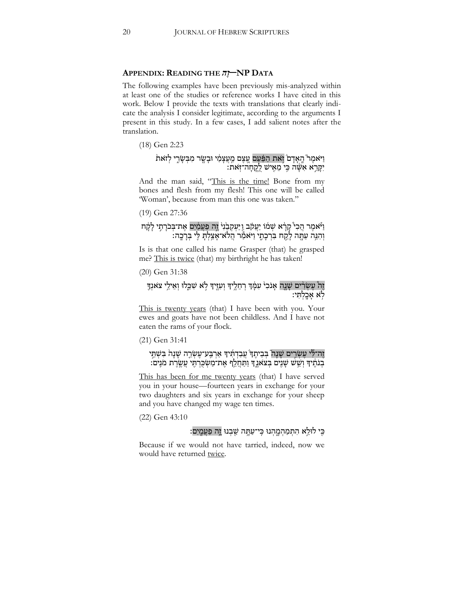#### **<sup>A</sup>PPENDIX: <sup>R</sup>EADING THE** *הֶז***‒NP <sup>D</sup>ATA**

The following examples have been previously mis-analyzed within at least one of the studies or reference works I have cited in this work. Below I provide the texts with translations that clearly indicate the analysis I consider legitimate, according to the arguments I present in this study. In a few cases, I add salient notes after the translation.

(18) Gen 2:23

#### וַ יֹּאמֶר ֿהֲאָדָם וְאת הַפַּֿעַם עֱצֶם מֵעֲצָמַי וּבָשֶׂר מִבְּשָׂרֵי לְזאת יִקְרֵא אִשָּׂה כִּי מֵאִישׁ לֻקֳחָה־זִֽאת:

And the man said, "This is the time! Bone from my bones and flesh from my flesh! This one will be called 'Woman', because from man this one was taken."

(19) Gen 27:36

#### וַ יֹּאמֶר הֲכִי קָרָ֫א שְׁמֹוֹ יַעֲקֹב וַיַּעְקְבֵׂנִיּ וֶה פַּעֲמַ֫יִם אֶת־בְּכֹרָתֶי לָקֶת וְהִגֵּה עַתָּה לָקָח בִּרְכָתֶי וַיּאמַר הֲלֹא־אָצַלְתָּ לִי בְּרָכֶה:

Is is that one called his name Grasper (that) he grasped me? This is twice (that) my birthright he has taken!

(20) Gen 31:38

#### ֿװָה עָשְׂרִים שָׁנֵה אָנֹכִי עִמְּ֣ד רְחֵלֶיִדְ וְעִזֶיִדְ לְא שִׁכֵּלוּ וְאֵילֵי צֹאנְדֶ ַ לְאָ אָבֶלְתִּי

This is twenty years (that) I have been with you. Your ewes and goats have not been childless. And I have not eaten the rams of your flock.

(21) Gen 31:41

#### זֶה־לִּי עֶשְׂרֵים שָׁנָה בְּבִיתֶד עֲבַדְתִידּ אַרְבַּע־עֶשְׂרֵה שָׁנָה בִּשְׁתֵי ָבְנֹתֶ֫יךָ וְשֵׁשׁ שָׁנִים בְּצֹאנֶ ךְּ וַתַּחֲלֵךְ אֶת־מַשְׂכֻּרְתֶּי עֲשֶׂרֶת מֹנִים:

This has been for me twenty years (that) I have served you in your house—fourteen years in exchange for your two daughters and six years in exchange for your sheep and you have changed my wage ten times.

(22) Gen 43:10

# כִּי לוּלֵא הִתְמַהְמֵהְנוּ כֵּי־עַתֵּה שֲבְנוּ <u>ז</u>ה פַּעֲמֵיִם:

Because if we would not have tarried, indeed, now we would have returned twice.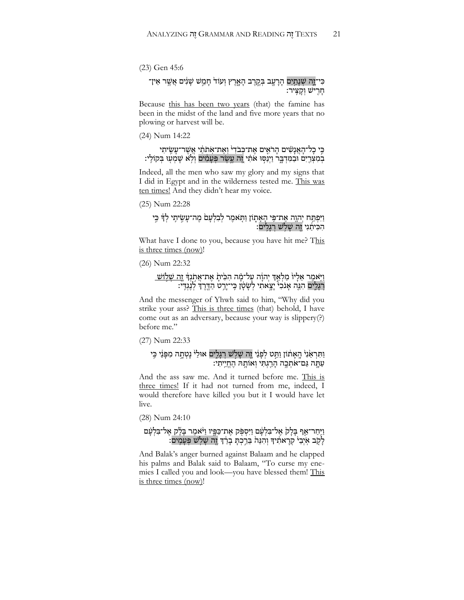(23) Gen 45:6

#### ּ כִּי־זֶהָ שְׁנָתָיִם הָרָעָב בְּקֶרֶב הָאֶרֶץ וְעוֹד חָמֵשׁ שָׁנִים אֲשֶׁר אֵין־ ּ רָוָרִישׁ וְקָצִּיר:

Because this has been two years (that) the famine has been in the midst of the land and five more years that no plowing or harvest will be.

(24) Num 14:22

#### ּכִּי כָל־הָאֲנָשִׁים הָרֹאִים אֶת־כְּבֹדִי וְאֵת־אָתֹתַ֫י אֲשֶׁר־עָשֶׂיתִי ּבְמִדְבָר וַיְנַסִּוּ אֹתִי חֵה עֵשֶׂר פִּעַמְים וְלָא שֶׁמְעָוּ בִּקוֹלֵי:

Indeed, all the men who saw my glory and my signs that I did in Egypt and in the wilderness tested me. This was ten times! And they didn't hear my voice.

(25) Num 22:28

#### וַיִּפְתַּח יְהוֶה אֵת־פֵּי הָאֲתֶוֹן וַתְּאמֶר לְבִלְעָם מֶה־עָשֶׂיתֶי לְךָּ כִּי ּהִכִּיתַׁנִי זֶה שָׁלְשׁ רְגָלִים:

What have I done to you, because you have hit me? This is three times (now)!

(26) Num 22:32

#### וַיָּאמֵר אֵלְיוֹ מַלְאַדְ יְהוָה עַל־מָה הִכִּיתָ אֶת־אֲתְנְדָּ <u>זֶה שְׁלִוֹשׁ</u> ָרְ הָנֶה אָנֹכִי יָצָאתִי לְשָׂטָן כִּי־יָרֵט הַדֶּרֶךְ לְנֶגְדִי:

And the messenger of Yhwh said to him, "Why did you strike your ass? This is three times (that) behold, I have come out as an adversary, because your way is slippery(?) before me."

(27) Num 22:33

וַתִּרְאַׂנִי הֶאָתוֹן וַתֵּט לְפָנֵי זֶה שָׁלְשׁ רְגָלֵים אוּלַי נָטְתָה מִפְּנֵי כִּי ַ עַתֱה גַּם־אֹתְכֶה הָרֵגְתִּי וְאוֹתָהּ הֶחֱיֶיִתִי

And the ass saw me. And it turned before me. This is three times! If it had not turned from me, indeed, I would therefore have killed you but it I would have let live.

(28) Num 24:10

#### וַיְּחַר־אַף בָּלָקׂ אֶל־בִּלְעָֽׁם וַיִּסְפִּק אֶת־כַּפֶּיו וַיּ<sup>ּ</sup>אמֶר בָּלָק אֶל־בִּלְעָּם ֹלְקָב אִיְבַיֹּ קְרָאתִידִּ וְהִנֵּהֹ בֵּרֵכְתָּ בָרֵ֫דְ וֶה שָׁלְשׁ פְּעָמִים:

And Balak's anger burned against Balaam and he clapped his palms and Balak said to Balaam, "To curse my enemies I called you and look—you have blessed them! This is three times (now)!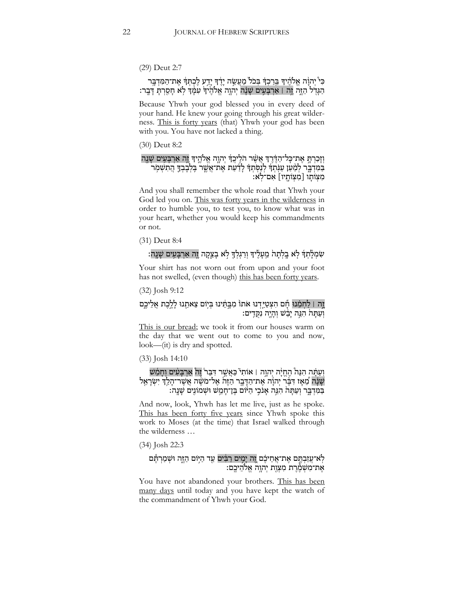(29) Deut 2:7

#### ּכִּי יְהוָה אֱלֹהֶיךָ בֵּרַכִךָּ בִּכֹל מַעֲשֶׂה יָדֶד יָדֵע לֶכְתְּדְ אֶת־הַמִּדְבֶּר ּהַגָּדְל הַזֶּה וֶה ו אַרְבָּעִים שָׁנָּה יְהוֶה אֱלֹהֶיד עִמְּ֣דְ לְא חָסַרְתָּ דָּבֶר:

Because Yhwh your god blessed you in every deed of your hand. He knew your going through his great wilderness. This is forty years (that) Yhwh your god has been with you. You have not lacked a thing.

(30) Deut 8:2

#### וְזָכַרְתָּ אֶת־כָּל־הַדֶּ֫רֶדְּ אֲשֶׁׁר הֹלִיכֲדְּ יְהוֶה אֱלֹהֱיִדְּ וֶהָ אַרְבָּעִים שָׁנֶה ּ בַּמִּדְבֶּר לְמַ֫עַן עַנִּ֫תְדָּ לְנַסְּתְדָּ לָדַעַת אֶת־אֲשֶׁר בְּלְבָבְדֶּ הֲתִשְׁמִֽר מִצְוֹתֵוּ [מִצְוֹתֵיו] אִם־לְּאָ:

And you shall remember the whole road that Yhwh your God led you on. This was forty years in the wilderness in order to humble you, to test you, to know what was in your heart, whether you would keep his commandments or not.

(31) Deut 8:4

### ְשְׁמְלָתְךְ לְאַ בֵלְתָהֹ מֵעָלֵיךָ וְרַגְלְךָּ לְאַ בָצֵקַה וֵּה אַרְבָּעֵים שָׁנֵה:

Your shirt has not worn out from upon and your foot has not swelled, (even though) this has been forty years.

(32) Josh 9:12

#### ֿוָה | לַחְמֵנוּ חָືם הִצְטַיַּדְנוּ אֹתוֹ מִבְּתֵּ֫ינוּ בְּיִוֹּם צֵאתֵנוּ לָלֶכֶת אֲלֵיכֶם וְעַתָּה הְנֵה יִבָּשׁ וְהָיָה נִקְדִים:

This is our bread; we took it from our houses warm on the day that we went out to come to you and now, look—(it) is dry and spotted.

(33) Josh 14:10

וְעַתָּה הִנֵּה הֶחֱיָּה יְהִוֶה | אוֹתִי כַּאֲשֶׁר דִּבֵּר וֶה אַרְבָּעִים וְחָמֵשׁ ּשָׁנָּה מֵׁאָז דִּבֶּר יְהוָۢה אֶת־הַדָּבֶר הַזֶּה אֶל־מֹשֶׂה אֲשֶׁר־הָלֵךְ יִשְׂרָאֵל ּ בַּמִּדְבֶּר וְעַתָּהֹ הִגֵּה אָנֹכִי הַיֹּוֹם בֶּן־חָמֵשׁ וּשְׁמוֹנִים שָׁנֵה:

And now, look, Yhwh has let me live, just as he spoke. This has been forty five years since Yhwh spoke this work to Moses (at the time) that Israel walked through the wilderness …

(34) Josh 22:3

#### ַּלְא־עֲזַבְתֶּם אֶת־אֲחֵיכֶם וֶה יָמֶים רַבִּים עַד הַיִּוֹם הַזֶּה וּשְׁמַרְתֶּם ּ אֶת־מִשְׁמֶרֶת מִצְוַת יְהוֶה אֱלֹהֵיכֶם:

You have not abandoned your brothers. This has been many days until today and you have kept the watch of the commandment of Yhwh your God.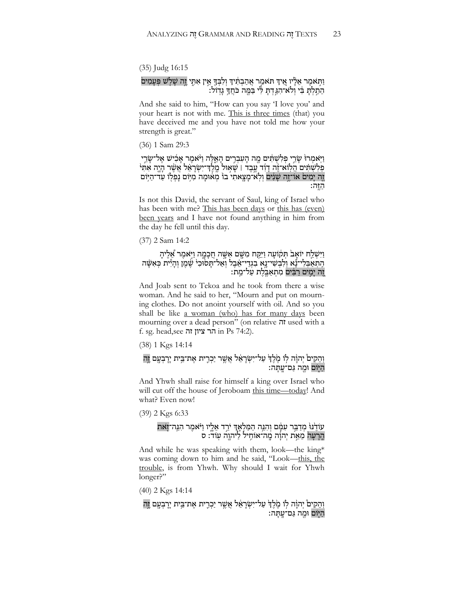(35) Judg 16:15

#### וַתְּאמֶר אֵלְיו אֵיךָ תּאמַר אֲהַבְתִּיךְ וְלִבְךָּ אֵין אִתֶי זֶה שָׁלְשׁ פְּעָמִים ְהֵתַלְתָּ בִּי וְלֹא־הִגַּדְתָּ לִּי בַּמֶּה כֹּחֲדָּ גָדְוֹל:

And she said to him, "How can you say 'I love you' and your heart is not with me. This is three times (that) you have deceived me and you have not told me how your strength is great."

(36) 1 Sam 29:3

וַיִּאמְרוּ שָׂרֵי פִלְשְׁתִּים מֶה הַעִבְרֵים הָאֱלֶה וַיּ<sup>ָ</sup>אמֶר אַבְישׁ אֱל־שָׂרֵי פְלִשְׁתִּים הֲלְוֹא־זֶה דָוָד עֲבֶד । שָׁאוּל מֶלֶד־יִשְׂרָאֵל אֲשֶׁר רָיֶה אִתִּי זֶה יַמִיםׂ אוֹ־זֶה שַׁנִּים וְלְא־מַצֵאתִי בוֹ מִאוּמַה מִיּּוֹם נַפִלְוֹ עַד־הַיִּוֹם ּהַ זֶּה:

Is not this David, the servant of Saul, king of Israel who has been with me? This has been days or this has (even) been years and I have not found anything in him from the day he fell until this day.

(37) 2 Sam 14:2

וַיִּשְׁלַח יוֹאָבׂ תְּקֹועָה וַיִּקְח מִשֶּׁם אִשָּׂה חֲכָמֶה וַיָּאמֶר אֵלֶיהָ ָּהָתַאַבְּלִי־נָּאַ וְלִבְשִׁי־נֵאָ בִגְדֵי־אֵבֶל וְאַל־תְּסֹוּּכִי שֶׁמֶן וְהָיִּיֹת כְּאִשָּׂה זֶה יְמִים רַבִּים מִתְאַבֵּלֵת עַל־מֵת:

And Joab sent to Tekoa and he took from there a wise woman. And he said to her, "Mourn and put on mourning clothes. Do not anoint yourself with oil. And so you shall be like a woman (who) has for many days been mourning over a dead person" (on relative זה used with a f. sg. head,see זהִציוןִהר in Ps 74:2).

(38) 1 Kgs 14:14

וְהֵקִיםْ יְהוָ֫ה לְוֹ מֶׂלֶדְ עַל־יִשְׂרָאֵ֫ל אֲשֶׁר יַכְרֶית אֶת־בֵּית יְרָבְעֶם זֶה ָהִיּׂם וּמֵה גַּם־עֲתָּה:

And Yhwh shall raise for himself a king over Israel who will cut off the house of Jeroboam this time—today! And what? Even now!

(39) 2 Kgs 6:33

#### עֹוֹדֶ'ּנּוּ מְדַבֵּר עִמְּם וְהִגֵּה הַמַּלְאֶדְּ יִרֵד אֵלֶיו וַיּּאמֶר הִגֵּה־זָאת הֶרָעָה מֵאֵ֣ת יְהוָ֥ה מֱה־אוֹחִיל לַיהוֶה עְוֹד׃ ס

And while he was speaking with them, look—the king\* was coming down to him and he said, "Look—this, the trouble, is from Yhwh. Why should I wait for Yhwh longer?"

(40) 2 Kgs 14:14

וְהֵקִיםׂ יְהוָה לְוֹ מֶקֶׁדְּ עַל־יִשְׂרָאֵ֫ל אֲשֶׁר יַכְרֶית אֶת־בֵּית יָרָבְעֶם וֶֽה ּהַ יִּמֶה גַּם־עֳתָּה: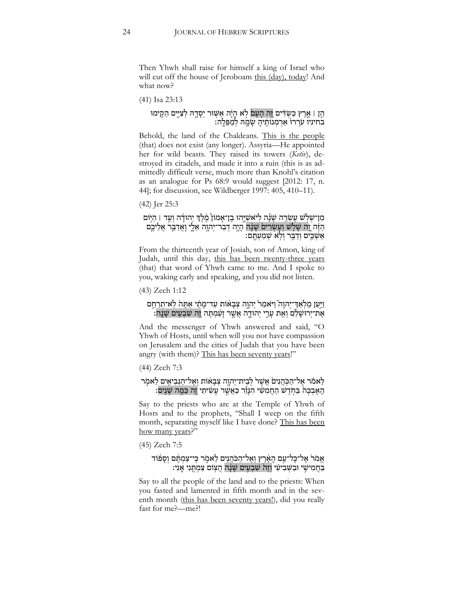Then Yhwh shall raise for himself a king of Israel who will cut off the house of Jeroboam this (day), today! And what now?

(41) Isa 23:13

#### ּהֵן | אֱרֶץ כַּשְׂדִּים וֶה הָעָם לְא הָיָה אַשְּׁוּר יְסָדֶהּ לְצִייֶם הֵקִימוּ בחיניו עֹרְרוּ אַרְמְנוֹתֶיהָ שָׂמֶהּ לְמַפֵּלֶה:

Behold, the land of the Chaldeans. This is the people (that) does not exist (any longer). Assyria—He appointed her for wild beasts. They raised its towers (*Ketiv*), destroyed its citadels, and made it into a ruin (this is as admittedly difficult verse, much more than Knohl's citation as an analogue for Ps 68:9 would suggest [2012: 17, n. 44]; for discussion, see Wildberger 1997: 405, 410–11).

(42) Jer 25:3

#### מִן־שְׁלְשׁ עֵשְׂרֵה שָׁנָֿה לִיאַשְׁיֶּהוּ בֶן־אָמוֹן מֶקֶד יְהוּדָה וְעַד | הַיְּוֹם ּהַזֶּה וָה שָׁלְשׁ וְעֵשְׂרִים שָׁנָּה הָיֶה דְבַר־יְהוֶה אֵלֶי וְאֲדַבֵּר אֲלֵיכֶם :אַשְׁבֵים וְדַבֵּר וְלְא שְׁמַעְתֶּם

From the thirteenth year of Josiah, son of Amon, king of Judah, until this day, this has been twenty-three years (that) that word of Yhwh came to me. And I spoke to you, waking early and speaking, and you did not listen.

(43) Zech 1:12

#### וַיִּעַן מַלְאַדְ־יִהוַה וַיּאמַר יִהוֵה צִבָאוֹת עַד־מַתַּי אַתָּה לְאִ־תְרַחֱם ָ אֶת־יִרוּשַׁלַם וְאֵת עָרֵי יִהוּדֶה אֲשֶׁר זָעַמְתָּה זֶה שִׁבְעִים שָׁנֵה:

And the messenger of Yhwh answered and said, "O Yhwh of Hosts, until when will you not have compassion on Jerusalem and the cities of Judah that you have been angry (with them)? This has been seventy years!"

(44) Zech 7:3

#### לֵאמֹר אֵל־הַכְּהֲנִיםׂ אֲשֶׁרֹ לְבֵית־יְהוֶה צְבָאוֹת וְאֱל־הַנִּבְיאֶים לֵאמְר ֶהַ בְּבֶּה בַּחֹדֵשׁ הַחֲמְשִׁי הִנָּזֶר כַּאֲשֶׁר עַשִׂיתִי זֶה כַּמֵּה שַׁנֵים:

Say to the priests who are at the Temple of Yhwh of Hosts and to the prophets, "Shall I weep on the fifth month, separating myself like I have done? This has been how many years?"

(45) Zech 7:5

#### אֶמֹרֹ אֶל־כָּל־עַם הָאֶרֶץ וְאֶל־הַכֹּהֲנִים לֵאמֶר כִּי־צַמְהֶם וְסָפוֹד בַּחֲמִישֶׁי וּבַשְּׁבִיעִי וְזֶה שִׁבְעִים שָׂנָּה הַצְּוֹם צַמְתֵּנִי אֲנִי:

Say to all the people of the land and to the priests: When you fasted and lamented in fifth month and in the seventh month (this has been seventy years!), did you really fast for me?—me?!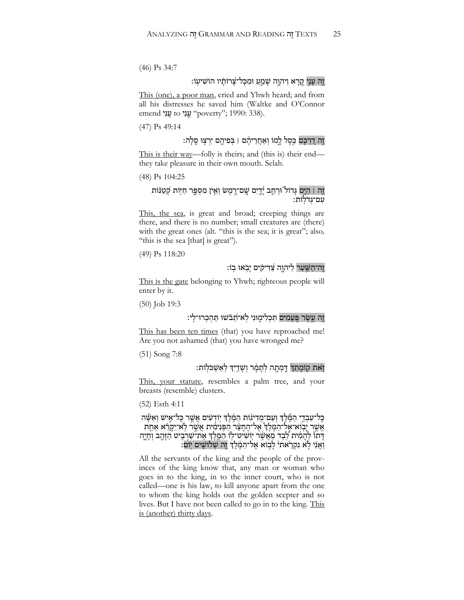(46) Ps 34:7

#### זֶה עַנֵי קֵרָא וַיהוֶה שָׁמֵעַ וּמִכָּל־צָרוֹתָ֫יו הוֹשִׁיעָוֹ׃

This (one), a poor man, cried and Yhwh heard; and from all his distresses he saved him (Waltke and O'Connor emend עֲנִי to עֲנָי "poverty"; 1990: 338).

(47) Ps 49:14

# וֶׂה דִרְבָּם כֵּסֶל לֶמוֹ וְאַחֲרֵיהֶ֫ם । בְּפִיהֶם יִרְצְוּ סֶלָה:

This is their way—folly is theirs; and (this is) their end they take pleasure in their own mouth. Selah.

(48) Ps 104:25

#### זֶה <u>ּ</u> הַיֶּם גָּדוֹל<sup>ְי</sup>וּרְחֶב יָ֫דְיִם שֱם־רֶמֶשׂ וְאֵין מִסְפֶּר חַיְּוֹת קְטַנּׁוֹת ּעִם־גְּדֹלְוֹת:

This, the sea, is great and broad; creeping things are there, and there is no number; small creatures are (there) with the great ones (alt. "this is the sea; it is great"; also*,* "this is the sea [that] is great").

(49) Ps 118:20

### וֵה־הַשֵּׁעַר לִיהוֵה צַׁדִּיקִים יַבִׂאוּ בִוֹ:

This is the gate belonging to Yhwh; righteous people will enter by it.

(50) Job 19:3

# זֶה עֵשֶׂר פֵּעַמִים תַּכְלִימִוּנִי לְאִ־תֲבֹשׁוּ תַּהְכְּרוּ־לֵ<sup>,</sup>

This has been ten times (that) you have reproached me! Are you not ashamed (that) you have wronged me?

(51) Song 7:8

# זֹאת קוֹמתִדְ דִּמְתָה לְתַמֶּר וְשָׁדֵיִךְ לְאֵשְׁכֹּלְוֹת:

This, your stature, resembles a palm tree, and your breasts (resemble) clusters.

(52) Esth 4:11

כָּל־עַבְדֵי הַמֶּ֫לֵךְ וְעַם־מִדְינוֹת הַמֶּ֫לֵךְ יְוֹדְעִים אֲשֵׁר כָּל־אֵישׁ וְאִשָּׁה ָאֲשֶׁר יָבְוֹא־אֱל־הַמֶּלֵךְ אֱל־הֶחָצָר הַפְּנִימִית אֲשֶׁר לְאֹ־יִקְרָא אַחֵת דָּתוֹ לְהָמִ֫ית לְבַד מֵאֲשֶׁר יְוֹשִׁיט־לְוֹ הַמֱלֶךְ אֶת־שַׁרְבִיט הַזָּהֶב וְחָיֶה וַאֲנִי לִא נִקְרֵאתי לַבְוֹא אֶל־הַמֶּ֫לֶךְ וֶה שְׁלוֹשִִים יְוֹם:

All the servants of the king and the people of the provinces of the king know that, any man or woman who goes in to the king, in to the inner court, who is not called—one is his law, to kill anyone apart from the one to whom the king holds out the golden scepter and so lives. But I have not been called to go in to the king. This is (another) thirty days.